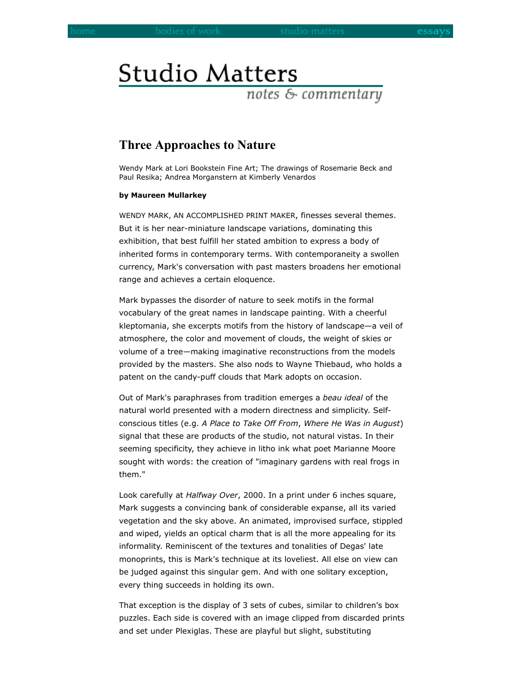## **Studio Matters**

notes & commentary

## **Three Approaches to Nature**

Wendy Mark at Lori Bookstein Fine Art; The drawings of Rosemarie Beck and Paul Resika; Andrea Morganstern at Kimberly Venardos

## **by Maureen Mullarkey**

WENDY MARK, AN ACCOMPLISHED PRINT MAKER, finesses several themes. But it is her near-miniature landscape variations, dominating this exhibition, that best fulfill her stated ambition to express a body of inherited forms in contemporary terms. With contemporaneity a swollen currency, Mark's conversation with past masters broadens her emotional range and achieves a certain eloquence.

Mark bypasses the disorder of nature to seek motifs in the formal vocabulary of the great names in landscape painting. With a cheerful kleptomania, she excerpts motifs from the history of landscape—a veil of atmosphere, the color and movement of clouds, the weight of skies or volume of a tree—making imaginative reconstructions from the models provided by the masters. She also nods to Wayne Thiebaud, who holds a patent on the candy-puff clouds that Mark adopts on occasion.

Out of Mark's paraphrases from tradition emerges a *beau ideal* of the natural world presented with a modern directness and simplicity. Selfconscious titles (e.g. *A Place to Take Off From*, *Where He Was in August*) signal that these are products of the studio, not natural vistas. In their seeming specificity, they achieve in litho ink what poet Marianne Moore sought with words: the creation of "imaginary gardens with real frogs in them."

Look carefully at *Halfway Over*, 2000. In a print under 6 inches square, Mark suggests a convincing bank of considerable expanse, all its varied vegetation and the sky above. An animated, improvised surface, stippled and wiped, yields an optical charm that is all the more appealing for its informality. Reminiscent of the textures and tonalities of Degas' late monoprints, this is Mark's technique at its loveliest. All else on view can be judged against this singular gem. And with one solitary exception, every thing succeeds in holding its own.

That exception is the display of 3 sets of cubes, similar to children's box puzzles. Each side is covered with an image clipped from discarded prints and set under Plexiglas. These are playful but slight, substituting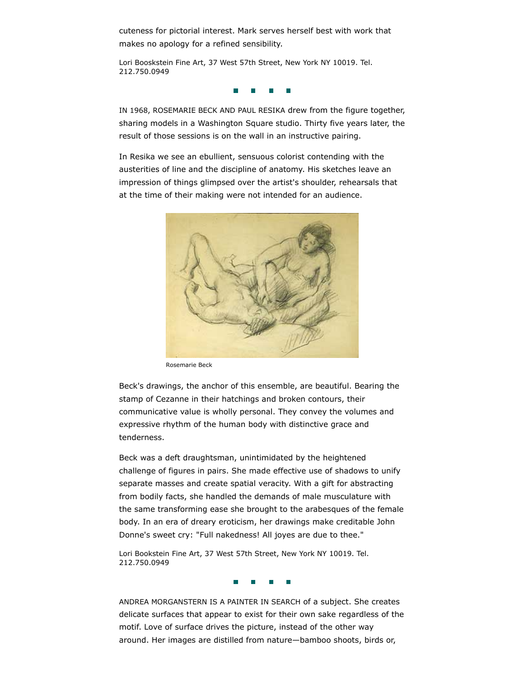cuteness for pictorial interest. Mark serves herself best with work that makes no apology for a refined sensibility.

Lori Booskstein Fine Art, 37 West 57th Street, New York NY 10019. Tel. 212.750.0949

 $\overline{\phantom{a}}$ 

IN 1968, ROSEMARIE BECK AND PAUL RESIKA drew from the figure together, sharing models in a Washington Square studio. Thirty five years later, the result of those sessions is on the wall in an instructive pairing.

In Resika we see an ebullient, sensuous colorist contending with the austerities of line and the discipline of anatomy. His sketches leave an impression of things glimpsed over the artist's shoulder, rehearsals that at the time of their making were not intended for an audience.



Rosemarie Beck

Beck's drawings, the anchor of this ensemble, are beautiful. Bearing the stamp of Cezanne in their hatchings and broken contours, their communicative value is wholly personal. They convey the volumes and expressive rhythm of the human body with distinctive grace and tenderness.

Beck was a deft draughtsman, unintimidated by the heightened challenge of figures in pairs. She made effective use of shadows to unify separate masses and create spatial veracity. With a gift for abstracting from bodily facts, she handled the demands of male musculature with the same transforming ease she brought to the arabesques of the female body. In an era of dreary eroticism, her drawings make creditable John Donne's sweet cry: "Full nakedness! All joyes are due to thee."

Lori Bookstein Fine Art, 37 West 57th Street, New York NY 10019. Tel. 212.750.0949

ANDREA MORGANSTERN IS A PAINTER IN SEARCH of a subject. She creates delicate surfaces that appear to exist for their own sake regardless of the motif. Love of surface drives the picture, instead of the other way around. Her images are distilled from nature—bamboo shoots, birds or,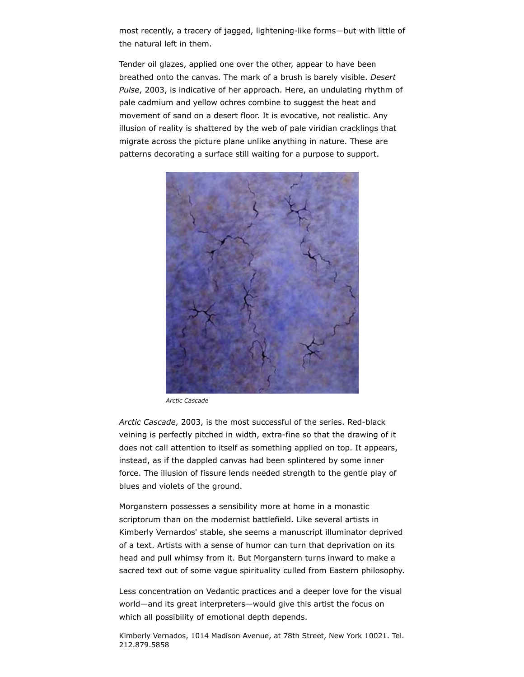most recently, a tracery of jagged, lightening-like forms—but with little of the natural left in them.

Tender oil glazes, applied one over the other, appear to have been breathed onto the canvas. The mark of a brush is barely visible. *Desert Pulse*, 2003, is indicative of her approach. Here, an undulating rhythm of pale cadmium and yellow ochres combine to suggest the heat and movement of sand on a desert floor. It is evocative, not realistic. Any illusion of reality is shattered by the web of pale viridian cracklings that migrate across the picture plane unlike anything in nature. These are patterns decorating a surface still waiting for a purpose to support.



*Arctic Cascade*

*Arctic Cascade*, 2003, is the most successful of the series. Red-black veining is perfectly pitched in width, extra-fine so that the drawing of it does not call attention to itself as something applied on top. It appears, instead, as if the dappled canvas had been splintered by some inner force. The illusion of fissure lends needed strength to the gentle play of blues and violets of the ground.

Morganstern possesses a sensibility more at home in a monastic scriptorum than on the modernist battlefield. Like several artists in Kimberly Vernardos' stable, she seems a manuscript illuminator deprived of a text. Artists with a sense of humor can turn that deprivation on its head and pull whimsy from it. But Morganstern turns inward to make a sacred text out of some vague spirituality culled from Eastern philosophy.

Less concentration on Vedantic practices and a deeper love for the visual world—and its great interpreters—would give this artist the focus on which all possibility of emotional depth depends.

Kimberly Vernados, 1014 Madison Avenue, at 78th Street, New York 10021. Tel. 212.879.5858